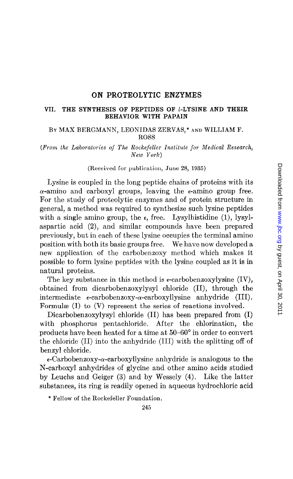# ON PROTEOLYTIC ENZYMES

### VII. THE SYNTHESIS OF PEPTIDES OF I-LYSINE AND THEIR BEHAVIOR WITH PAPAIN

## BY MAX BERGMANN, LEONIDAS ZERVAS,\* AND WILLIAM F. ROSS

(From the Laboratories oj The Rockefeller Institute for Medical Research, New York)

#### (Received for publication, June 28, 1935)

Lysine is coupled in the long peptide chains of proteins with its  $\alpha$ -amino and carboxyl groups, leaving the  $\epsilon$ -amino group free. For the study of proteolytic enzymes and of protein structure in general, a method was required to synthesize such lysine peptides with a single amino group, the  $\epsilon$ , free. Lysylhistidine (1), lysylaspartic acid (2), and similar compounds have been prepared previously, but in each of these lysine occupies the terminal amino position with both its basic groups free. We have now developed a new application of the carbobenxoxy method which makes it possible to form lysine peptides with the lysine coupled as it is in natural proteins.

The key substance in this method is  $\epsilon$ -carbobenzoxylysine (IV), obtained from dicarbobenzoxylysyl chloride (II), through the intermediate  $\epsilon$ -carbobenzoxy- $\alpha$ -carboxyllysine anhydride (III). Formulae (I) to (V) represent the series of reactions involved.

Dicarbobenzoxylysyl chloride (II) has been prepared from (I) with phosphorus pentachloride. After the chlorination, the products have been heated for a time at  $50-60^{\circ}$  in order to convert the chloride (II) into the anhydride (III) with the splitting off of benzyl chloride.

 $\epsilon$ -Carbobenzoxy- $\alpha$ -carboxyllysine anhydride is analogous to the N-carboxyl anhydrides of glycine and other amino acids studied by Leuchs and Geiger (3) and by Wessely (4). Like the latter substances, its ring is readily opened in aqueous hydrochloric acid

\* Fellow of the Rockefeller Foundation.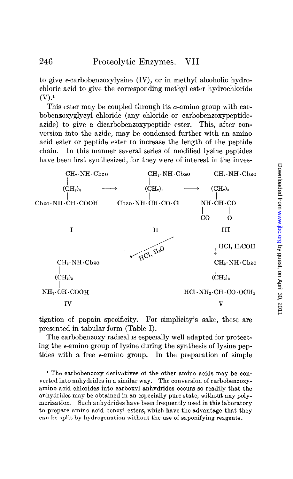to give  $\epsilon$ -carbobenzoxylysine (IV), or in methyl alcoholic hydrochloric acid to give the corresponding methyl ester hydrochloride  $(V).<sup>1</sup>$ 

This ester may be coupled through its  $\alpha$ -amino group with carbobenzoxyglycyl chloride (any chloride or carbobenzoxypeptideazide) to give a dicarbobenzoxypeptide ester. This, after conversion into the azide, may be condensed further with an amino acid ester or peptide ester to increase the length of the peptide chain. In this manner several series of modified lysine peptides have been first synthesized, for they were of interest in the inves-



tigation of papain specificity. For simplicity's sake, these are presented in tabular form (Table I).

The carbobenzoxy radical is especially well adapted for protecting the e-amino group of lysine during the synthesis of lysine peptides with a free  $\epsilon$ -amino group. In the preparation of simple

1 The carbobenzoxy derivatives of the other amino acids may be converted into anhydrides in a similar way. The conversion of carbobenzoxyamino acid chlorides into carboxyl anhydrides occurs so readily that the anhydrides may be obtained in an especially pure state, without any polymerization. Such anhydrides have been frequently used in this laboratory to prepare amino acid benzyl esters, which have the advantage that they can be split by hydrogenation without the use of saponifying reagents.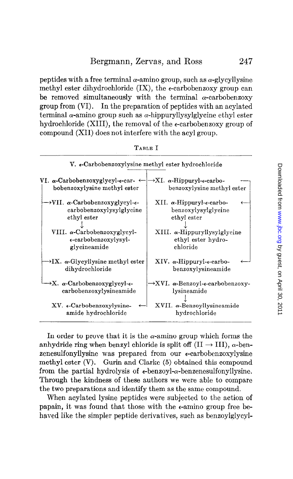peptides with a free terminal  $\alpha$ -amino group, such as  $\alpha$ -glycyllysine methyl ester dihydrochloride  $(IX)$ , the  $\epsilon$ -carbobenzoxy group can be removed simultaneously with the terminal  $\alpha$ -carbobenzoxy group from (VI). In the preparation of peptides with an acylated terminal  $\alpha$ -amino group such as  $\alpha$ -hippuryllysylglycine ethyl ester hydrochloride (XIII), the removal of the  $\epsilon$ -carbobenzoxy group of compound (XII) does not interfere with the acyl group.

| V. e-Carbobenzoxylysine methyl ester hydrochloride                 |                                                     |
|--------------------------------------------------------------------|-----------------------------------------------------|
| VI. $\alpha$ -Carbobenzoxyglycyl- $\epsilon$ -car- $\leftarrow$    | $\rightarrow$ XI. $\alpha$ -Hippuryl-e-carbo-       |
| bobenzoxylysine methyl ester                                       | benzoxylysine methyl ester                          |
| $\rightarrow$ VII. $\alpha$ -Carbobenzoxyglycyl- $\epsilon$ -      | XII. α-Hippuryl- $\epsilon$ -carbo-                 |
| carbobenzoxylysylglycine                                           | benzoxylysylglycine                                 |
| ethyl ester                                                        | ethyl ester                                         |
| VIII. $\alpha$ -Carbobenzoxyglycyl-                                | $XIII.$ $\alpha$ -Hippuryllysylglycine              |
| e-carbobenzoxylysyl-                                               | ethyl ester hydro-                                  |
| glycineamide                                                       | chloride                                            |
| $\rightarrow$ IX. $\alpha$ -Glycyllysine methyl ester              | $XIV.$ $\alpha$ -Hippuryl- $\epsilon$ -carbo-       |
| dihydrochloride                                                    | benzoxylysineamide                                  |
| $\rightarrow$ X. $\alpha$ -Carbobenzoxyglycyl- $\epsilon$ -        | →XVI. α-Benzoyl-ε-carbobenzoxy-                     |
| carbobenzoxylysineamide                                            | lysineamide                                         |
| XV. e-Carbobenzoxylysine-<br>$\leftarrow$ l<br>amide hydrochloride | XVII. $\alpha$ -Benzoyllysineamide<br>hydrochloride |

| ш<br>ı |  |
|--------|--|
|--------|--|

In order to prove that it is the  $\alpha$ -amino group which forms the anhydride ring when benzyl chloride is split off  $(II \rightarrow III)$ ,  $\alpha$ -benzenesulfonyllysine was prepared from our  $\epsilon$ -carbobenzoxylysine methyl ester (V). Gurin and Clarke (5) obtained this compound from the partial hydrolysis of  $\epsilon$ -benzoyl- $\alpha$ -benzenesulfonyllysine. Through the kindness of these authors we were able to compare the two preparations and identify them as the same compound.

When acylated lysine peptides were subjected to the action of papain, it was found that those with the  $\epsilon$ -amino group free behaved like the simpler peptide derivatives, such as benzoylglycyl-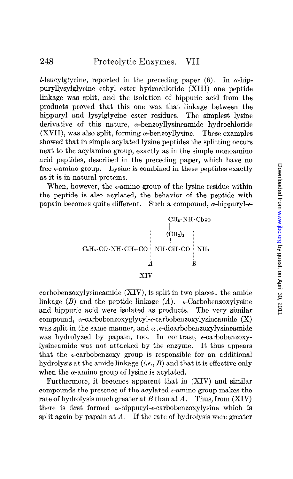*I*-leucylglycine, reported in the preceding paper (6). In  $\alpha$ -hippuryllysylglycine ethyl ester hydrochloride (XIII) one peptide linkage was split, and the isolation of hippuric acid from the products proved that this one was that linkage between the hippuryl and lysylglycine ester residues. The simplest lysine derivative of this nature,  $\alpha$ -benzoyllysineamide hydrochloride (XVII), was also split, forming  $\alpha$ -benzoyllysine. These examples showed that in simple acylated lysine peptides the splitting occurs next to the acylamino group, exactly as in the simple monoamino acid peptides, described in the preceding paper, which have no free  $\epsilon$ -amino group. Lysine is combined in these peptides exactly as it is in natural proteins.

When, however, the  $\epsilon$ -amino group of the lysine residue within the peptide is also acylated, the behavior of the peptide with papain becomes quite different. Such a compound,  $\alpha$ -hippuryl- $\epsilon$ -

> CHz.NH-Cbzo I  $\rm (CH_2)_3$  $C_6H_5 \cdot CO \cdot NH \cdot CH_2 \cdot CO$  ; NH $\cdot CH \cdot CO$  ; NH<sub>2</sub>  $\overline{A}$  is the  $\overline{B}$ XIV

carbobenzoxylysineamidc (XIV), is split in two places; the amide linkage  $(B)$  and the peptide linkage  $(A)$ .  $\epsilon$ -Carbobenzoxylysine and hippuric acid were isolated as products. The very similar compound,  $\alpha$ -carbobenzoxyglycyl- $\epsilon$ -carbobenzoxylysineamide  $(X)$ was split in the same manner, and  $\alpha$ , e-dicarbobenzoxylysineamide was hydrolyzed by papain, too. In contrast, e-carbobenzoxylysineamide was not attacked by the enzyme. It thus appears that the ecarbobenzoxy group is responsible for an additional hydrolysis at the amide linkage  $(i.e., B)$  and that it is effective only when the  $\alpha$ -amino group of lysine is acylated.

Furthermore, it becomes apparent that in (XIV) and similar compounds the presence of the acylated  $\epsilon$ -amino group makes the rate of hydrolysis much greater at B than at A. Thus, from  $(XIV)$ there is first formed  $\alpha$ -hippuryl- $\epsilon$ -carbobenzoxylysine which is split again by papain at  $A$ . If the rate of hydrolysis were greater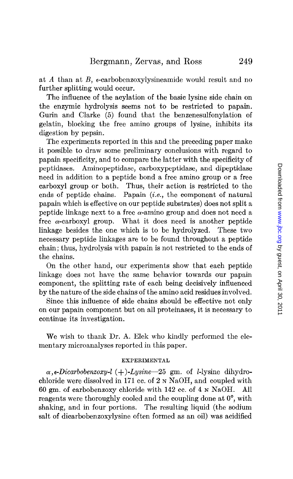at A than at B, e-carbobenzoxylysineamide would result and no further splitting would occur.

The influence of the acylation of the basic lysine side chain on the enzymic hydrolysis seems not to be restricted to papain. Gurin and Clarke (5) found that the benzenesulfonylation of gelatin, blocking the free amino groups of lysine, inhibits its digestion by pepsin.

The experiments reported in this and the preceding paper make it possible to draw some preliminary conclusions with regard to papain specificity, and to compare the latter with the specificity of peptidases. Aminopeptidase, carboxypeptidase, and dipeptidase need in addition to a peptide bond a free amino group or a free carboxyl group or both. Thus, their action is restricted to the ends of peptide chains. Papain (i.e., the component of natural papain which is effective on our peptide substrates) does not split a peptide linkage next to a free  $\alpha$ -amino group and does not need a free  $\alpha$ -carboxyl group. What it does need is another peptide linkage besides the one which is to be hydrolyzed. These two necessary peptide linkages are to be found throughout a peptide chain; thus, hydrolysis with papain is not restricted to the ends of the chains.

On the other hand, our experiments show that each peptide linkage does not have the same behavior towards our papain component, the splitting rate of each being decisively influenced by the nature of the side chains of the amino acid residues involved.

Since this influence of side chains should be effective not only on our papain component but on all proteinases, it is necessary to continue its investigation.

We wish to thank Dr. A. Elek who kindly performed the elementary microanalyses reported in this paper.

## EXPERIMENTAL

 $\alpha$ , e-Dicarbobenzoxy-l (+)-Lysine-25 gm. of l-lysine dihydrochloride were dissolved in 171 cc. of 2 N NaOH, and coupled with 60 gm. of carbobenzoxy chloride with 142 cc. of 4 N NaOH. All reagents were thoroughly cooled and the coupling done at O', with shaking, and in four portions. The resulting liquid (the sodium salt of dicarbobenzoxylysine often formed as an oil) was acidified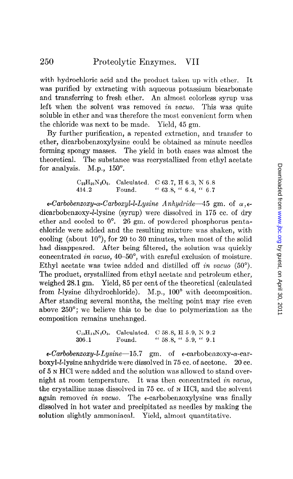with hydrochloric acid and the product taken up with ether. It was purified by extracting with aqueous potassium bicarbonate and transferring to fresh ether. An almost colorless syrup was left when the solvent was removed in vacuo. This was quite soluble in ether and was therefore the most convenient form when the chloride was next to be made. Yield, 45 gm.

By further purification, a repeated extraction, and transfer to ether, dicarbobenzoxylysine could be obtained as minute needles forming spongy masses. The yield in both cases was almost the theoretical. The substance was recrystallized from ethyl acetate for analysis. M.p.,  $150^\circ$ .

$$
C_{22}H_{26}N_2O_6
$$
. Calculated. C 63.7, H 6.3, N 6.8  
414.2 Found. "63.8, "6.4, "6.7

 $\epsilon$ -Carbobenzoxy- $\alpha$ -Carboxyl-l-Lysine Anhydride-45 gm. of  $\alpha$ , $\epsilon$ dicarbobenzoxy-*l*-lysine (syrup) were dissolved in 175 cc. of dry ether and cooled to  $0^{\circ}$ . 26 gm. of powdered phosphorus pentachloride were added and the resulting mixture was shaken, with cooling (about  $10^{\circ}$ ), for 20 to 30 minutes, when most of the solid had disappeared. After being filtered, the solution was quickly concentrated in vacuo,  $40-50^\circ$ , with careful exclusion of moisture. Ethyl acetate was twice added and distilled off in vacuo  $(50^{\circ})$ . The product, crystallized from ethyl acetate and petroleum ether, weighed 28.1 gm. Yield, 85 per cent of the theoretical (calculated from *l*-lysine dihydrochloride). M.p.,  $100^{\circ}$  with decomposition. After standing several months, the melting point may rise even above 250"; we believe this to be due to polymerization as the composition remains unchanged.

$$
C_{18}H_{18}N_2O_5
$$
. Calculated. C 58.8, H 5.9, N 9.2  
306.1 Found. "58.8, "5.9, "9.1

 $\epsilon$ -Carbobenzoxy-l-Lysine-15.7 gm. of  $\epsilon$ -carbobenzoxy- $\alpha$ -carboxyl-klysine anhydride were dissolved in 75 cc. of acetone. 20 cc. of 5 N HCI were added and the solution was allowed to stand overnight at room temperature. It was then concentrated in vacua, the crystalline mass dissolved in 75 cc. of N HCl, and the solvent again removed in vacuo. The  $\epsilon$ -carbobenzoxylysine was finally dissolved in hot water and precipitated as needles by making the solution slightly ammoniacal. Yield, almost quantitative.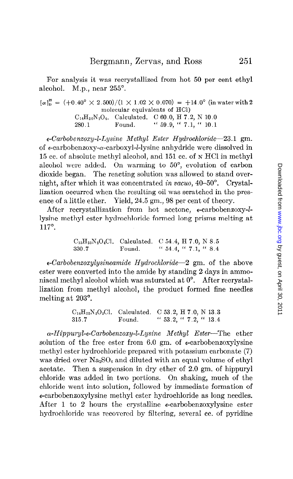For analysis it was recrystallized from hot 50 per cent ethyl alcohol. M.p., near  $255^\circ$ .

$$
[\alpha]_{D}^{18} = (+0.40^{\circ} \times 2.500)/(1 \times 1.02 \times 0.070) = +14.0^{\circ} \text{ (in water with 2molecular equivalents of HC)}
$$
  
\n
$$
C_{14}H_{20}N_{2}O_{4}.
$$
 Calculated. C 60.0, H 7.2, N 10.0  
\n280.1 Found. "59.9, "7.1, "10.1

 $\epsilon$ -Carbobenzoxy-l-Lysine Methyl Ester Hydrochloride-23.1 gm. of  $\epsilon$ -carbobenzoxy- $\alpha$ -carboxyl-*l*-lysine anhydride were dissolved in 15 cc. of absolute methyl alcohol, and 151 cc. of N HCl in methyl alcohol were added. On warming to 50°, evolution of carbon dioxide began. The reacting solution was allowed to stand overnight, after which it was concentrated in vacuo, 40–50°. Crystallization occurred when the resulting oil was scratched in the presence of a little ether. Yield, 24.5 gm., 98 per cent of theory.

After recrystallization from hot acetone, e-carbobenzoxy-llysine methyl ester hydrochloride formed long prisms melting at 117".

$$
C_{15}H_{23}N_2O_4Cl. \quad \text{Calculated.} \quad C \, 54.4, \, H \, 7.0, \, N \, 8.5\n330.7 \quad \text{Found.} \quad \text{`` } 54.4, \, \text{`` } 7.1, \, \text{`` } 8.4
$$

 $\epsilon$ -Carbobenzoxylysineamide Hydrochloride-2 gm. of the above ester were converted into the amide by standing 2 days in ammoniacal methyl alcohol which was saturated at  $0^{\circ}$ . After recrystallization from methyl alcohol, the product formed fine needles melting at 203".

> $C_{14}H_{22}N_8O_8Cl.$  Calculated. C 53.2, H 7.0, N 13.3 315.7 Found. "  $53.2,$  "  $7.2,$  "  $13.4$

 $\alpha$ -Hippuryl- $\epsilon$ -Carbobenzoxy-l-Lysine Methyl Ester-The ether solution of the free ester from 6.0 gm, of  $\epsilon$ -carbobenzoxylysine methyl ester hydrochloride prepared with potassium carbonate (7) was dried over  $Na<sub>2</sub>SO<sub>4</sub>$  and diluted with an equal volume of ethyl acetate. Then a suspension in dry ether of 2.0 gm. of hippuryl chloride was added in two portions. On shaking, much of the chloride went into solution, followed by immediate formation of e-carbobenzoxylysine methyl ester hydrochloride as long needles. After 1 to 2 hours the crystalline  $\epsilon$ -carbobenzoxylysine ester hydrochloride was recovered by filtering, several cc. of pyridine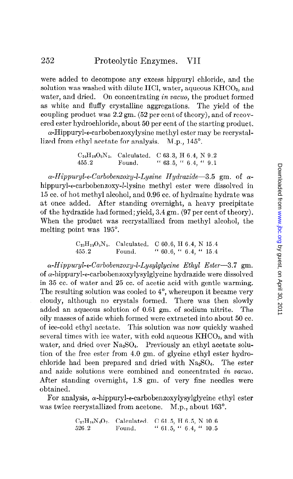were added to decompose any excess hippuryl chloride, and the solution was washed with dilute HCl, water, aqueous  $KHCO<sub>3</sub>$ , and water, and dried. On concentrating in vacuo, the product formed as white and fluffy crystalline aggregations. The yield of the coupling product was 2.2 gm. (52 per cent of theory), and of recovered ester hydrochloride, about 50 per cent of the starting product.

 $\alpha$ -Hippuryl- $\epsilon$ -carbobenzoxylysine methyl ester may be recrystallized from ethyl acetate for analysis. M.p., 145<sup>°</sup>.

> $C_{24}H_{29}O_6N_3$ . Calculated. C 63.3, H 6.4, N 9.2 455.2 Found. " 63.5, " 6.4, " 9.1

 $\alpha$ -Hippuryl-e-Carbobenzoxy-l-Lysine Hydrazide-3.5 gm. of  $\alpha$ hippuryl-e-carbobenzoxy-l-lysine methyl ester were dissolved in 15 cc. of hot methyl alcohol, and 0.96 cc. of hydrazine hydrate was at once added. After standing overnight, a heavy precipitate of the hydrazide had formed; yield, 3.4 gm. (97 per cent of theory). When the product was recrystallized from methyl alcohol, the melting point was 195'.

> $C_{23}H_{29}O_{b}N_{5}$ . Calculated. C 60.6, H 6.4, N 15.4 455.2 Found. " 60.6, " 6.4, " 15.4

 $\alpha$ -Hippuryl- $\epsilon$ -Carbobenzoxy-l-Lysylglycine Ethyl Ester-3.7 gm. of  $\alpha$ -hippuryl- $\epsilon$ -carbobenzoxylysylglycine hydrazide were dissolved in 35 cc. of water and 25 cc. of acetic acid with gentle warming. The resulting solution was cooled to  $4^{\circ}$ , whereupon it became very cloudy, although no crystals formed. There was then slowly added an aqueous solution of 0.61 gm. of sodium nitrite. The oily masses of azide which formed were extracted into about 50 cc. of ice-cold ethyl acetate. This solution was now quickly washed several times with ice water, with cold aqueous  $K<sub>HCO<sub>3</sub></sub>$ , and with water, and dried over  $Na<sub>2</sub>SO<sub>4</sub>$ . Previously an ethyl acetate solution of the free ester from 4.9 gm. of glycine ethyl ester hydrochloride had been prepared and dried with  $Na<sub>2</sub>SO<sub>4</sub>$ . The ester and azide solutions were combined and concentrated in vacua. After standing overnight, 1.8 gm. of very fine needles were obtained.

For analysis,  $\alpha$ -hippuryl- $\epsilon$ -carbobenzoxylysylglycine ethyl ester was twice recrystallized from acetone. M.p., about 163<sup>°</sup>.

| $C_{27}H_{34}N_4O_7$ . Calculated. C 61.5, H 6.5, N 10.6 |        |                                     |  |  |
|----------------------------------------------------------|--------|-------------------------------------|--|--|
| 526.2                                                    | Found. | $\lq 61.5$ , $\lq 6.4$ , $\lq 10.5$ |  |  |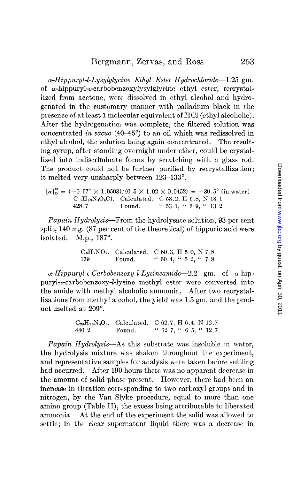$\alpha$ -Hippuryl-l-Lysylglycine Ethyl Ester Hydrochloride-1.25 gm. of  $\alpha$ -hippuryl- $\epsilon$ -carbobenzoxylysylglycine ethyl ester, recrystallized from acetone, were dissolved in ethyl alcohol and hydrogenated in the customary manner with palladium black in the presence of at least 1 molecular equivalent of HCl (ethyl alcoholic). After the hydrogenation was complete, the filtered solution was concentrated in vacua (40-45") to an oil which was redissolved in ethyl alcohol, the solution being again concentrated. The resulting syrup, after standing overnight under ether, could be crystallized into indiscriminate forms by scratching with a glass rod. The product could not be further purified by recrystallization; it melted very unsharply between 123-133".

 $[\alpha]_p^2 = (-0.67^\circ \times 1.0503)/(0.5 \times 1.02 \times 0.0452) = -30.5^\circ$  (in water)  $C_{19}H_{29}N_4O_5Cl.$  Calculated. C 53.2, H 6.8, N 13.1 428.7 Found. " 53.1, '\* 6.9, " 13.2

Papain Hydrolysis-From the hydrolysate solution, 93 per cent split, 140 mg. (87 per cent of the theoretical) of hippuric acid were isolated. M.p.,  $187^\circ$ .

> $C_9H_9NO_3$ . Calculated. C 60.3, H 5.0, N 7.8 179 Found. " 60.4, " 5.2, " 7.8

 $\alpha$ -Hippuryl-e-Carbobenzoxy-l-Lysineamide-2.2 gm. of  $\alpha$ -hippuryl-c-carbobenzoxy-I-lysine methyl ester were converted into the amide with methyl alcoholic ammonia. After two recrystallizations from methyl alcohol, the yield was 1.5 gm. and the product melted at 209".

> $C_{23}H_{28}N_4O_5.$  Calculated. C 62.7, H 6.4, N 12.7 440.2 Found. "  $62.7,$  "  $6.5,$  "  $12.7$

*Papain Hydrolysis*—As this substrate was insoluble in water, the hydrolysis mixture was shaken throughout the experiment, and representative samples for analysis were taken before settling had occurred. After 190 hours there was no apparent decrease in the amount of solid phase present. However, there had been an increase in titration corresponding to two carboxyl groups and in nitrogen, by the Van Slyke procedure, equal to more than one amino group (Table II), the excess being attributable to liberated ammonia. At the end of the experiment the solid was allowed to settle; in the clear supernatant liquid there was a decrease in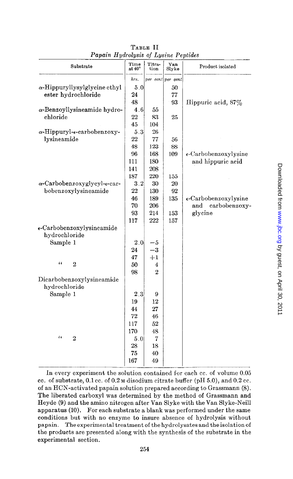| r apatu 11 ganvigsts of Ligsthe I epitaes      |                |                          |                   |                                |
|------------------------------------------------|----------------|--------------------------|-------------------|--------------------------------|
| Substrate                                      | Time<br>at 40° | Titra-<br>$_{\rm{tion}}$ | Van<br>Slyke      | Product isolated               |
|                                                | hrs.           |                          | per cent per cent |                                |
| $\alpha$ -Hippuryllysylglycine ethyl           | 5.0            |                          | 50                |                                |
| ester hydrochloride                            | 24             |                          | 77                |                                |
|                                                | 48             |                          | 93                | Hippuric acid, 87%             |
| $\alpha$ -Benzoyllysineamide hydro-            | 4.6            | 55                       |                   |                                |
| chloride                                       | 22             | 83                       | 25                |                                |
|                                                | 45             | 104                      |                   |                                |
| $\alpha$ -Hippuryl- $\epsilon$ -carbobenzoxy-  | 5.3            | 26                       |                   |                                |
| lysineamide                                    | 22             | 77                       | 56                |                                |
|                                                | 48             | 123                      | 88                |                                |
|                                                | 96             | 168                      | 109               | $\epsilon$ -Carbobenzoxylysine |
|                                                | 111            | 180                      |                   | and hippuric acid              |
|                                                | 141            | 208                      |                   |                                |
|                                                | 187            | 220                      | 155               |                                |
| $\alpha$ -Carbobenzoxyglycyl- $\epsilon$ -car- | 3.2            | 30                       | 20                |                                |
| bobenzoxylysineamide                           | 22             | 130                      | 92                |                                |
|                                                | 46             | 189                      | 135               | $\epsilon$ -Carbobenzoxylysine |
|                                                | 70             | 206                      |                   | carbobenzoxy-<br>and           |
|                                                | 93             | 214                      | 153               | glycine                        |
|                                                | 117            | 222                      | 157               |                                |
| e-Carbobenzoxylysineamide<br>hydrochloride     |                |                          |                   |                                |
| Sample 1                                       | 2.0            | -5                       |                   |                                |
|                                                | 24             | $-3$                     |                   |                                |
|                                                | 47             | $+1$                     |                   |                                |
| $\iota$<br>$\overline{2}$                      | 50             | 4                        |                   |                                |
|                                                | 98             | $\overline{2}$           |                   |                                |
| Dicarbobenzoxylysineamide                      |                |                          |                   |                                |
| hydrochloride                                  |                |                          |                   |                                |
| Sample 1                                       | 2.3            | 9                        |                   |                                |
|                                                | 19             | 12                       |                   |                                |
|                                                | 44             | 27                       |                   |                                |
|                                                | 72             | 46                       |                   |                                |
|                                                | 117            | 52                       |                   |                                |
|                                                | 170            | 48                       |                   |                                |
| $\epsilon$<br>$\overline{2}$                   | $5.0\,$        | 7                        |                   |                                |
|                                                | 28             | 18                       |                   |                                |
|                                                | 75             | 40                       |                   |                                |
|                                                | 167            | 49                       |                   |                                |
|                                                |                |                          |                   |                                |

TABLE II Papain Hydrolysis of Lysine Peptides

In every experiment the solution contained for each cc. of volume 0.05 cc. of substrate,  $0.1$  cc. of  $0.2$  M disodium citrate buffer (pH 5.0), and  $0.2$  cc. of an HCN-activated papain solution prepared according to Grassmann (8). The liberated carboxyl was determined by the method of Grassmann and Heyde (9) and the amino nitrogen after Van Slyke with the Van Slyke-Neil1 apparatus (10). For each substrate a blank was performed under the same conditions but with no enzyme to insure absence of hydrolysis without papain. The experimental treatment of the hydrolysates and the isolation of the products are presented along with the synthesis of the substrate in the experimental section.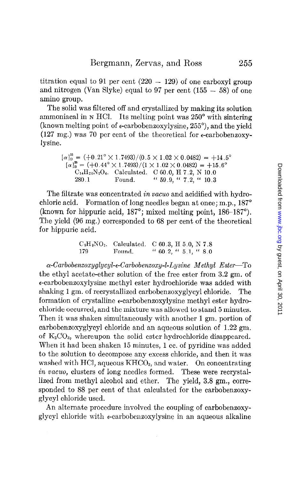titration equal to 91 per cent  $(220 - 129)$  of one carboxyl group and nitrogen (Van Slyke) equal to 97 per cent  $(155 - 58)$  of one amino group.

The solid was filtered off and crystallized by making its solution ammoniacal in N HCI. Its melting point was 250' with sintering (known melting point of  $\epsilon$ -carbobenzoxylysine, 255 $^{\circ}$ ), and the yield (127 mg.) was 70 per cent of the theoretical for  $\epsilon$ -carbobenzoxylysine.

> $[\alpha]_{\text{D}}^{25}$  = (+0.21° × 1.7493)/(0.5 × 1.02 × 0.0482) = +14.5°  $[\alpha]_p^{35} = (+0.44^\circ \times 1.7493)/(1 \times 1.02 \times 0.0482) = +15.6^\circ$  $\rm C_{14}H_{20}N_{2}O_{4}$ . Calculated. C 60.0, H 7.2, N 10.0 280.1 Found. " 59.9, " 7.2, " 10.3

The filtrate was concentrated in vacuo and acidified with hydrochloric acid. Formation of long needles began at once; m.p., 187<sup>°</sup> (known for hippuric acid, 187°; mixed melting point, 186–187°). The yield (96 mg.) corresponded to 68 per cent of the theoretical for hippuric acid.

> CsHgNOz. Calculated. C 60.3, H 5.0, N 7.8  $170$  Found  $160.9$   $15.1$   $19.0$

 $\alpha$ -Carbobenzoxyglycyl- $\epsilon$ -Carbobenzoxy-l-Lysine Methyl Ester-To the ethyl acetate-ether solution of the free ester from 3.2 gm. of  $\epsilon$ -carbobenzoxylysine methyl ester hydrochloride was added with shaking 1 gm. of recrystallized carbobenzoxyglycyl chloride. The formation of crystalline  $\epsilon$ -carbobenzoxylysine methyl ester hydrochloride occurred, and the mixture was allowed to stand 5 minutes. Then it was shaken simultaneously with another 1 gm. portion of carbobenzoxyglycyl chloride and an aqueous solution of 1.22 gm. of  $K_2CO_3$ , whereupon the solid ester hydrochloride disappeared. When it had been shaken 15 minutes, 1 cc. of pyridine was added to the solution to decompose any excess chloride, and then it was washed with HCl, aqueous  $KHCO<sub>3</sub>$ , and water. On concentrating in vacua, clusters of long needles formed. These were recrystallized from methyl alcohol and ether. The yield, 3.8 gm., corresponded to 88 per cent of that calculated for the carbobenzoxyglycyl chloride used.

An alternate procedure involved the coupling of carbobenzoxyglycyl chloride with  $\epsilon$ -carbobenzoxylysine in an aqueous alkaline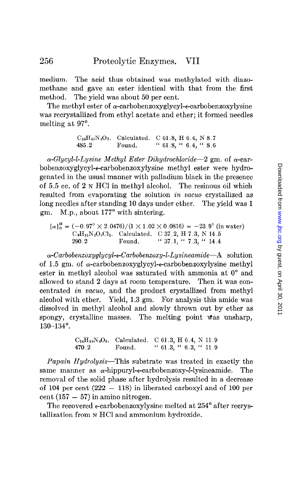medium. The acid thus obtained was methylated with diazomethane and gave an ester identical with that from the first method. The yield was about 50 per cent.

The methyl ester of  $\alpha$ -carbobenzoxyglycyl- $\epsilon$ -carbobenzoxylysine was recrystallized from ethyl acetate and ether; it formed needles melting at 97°.

> $C_{25}H_{31}N_3O_7.$  Calculated. C 61.8, H 6.4, N 8.7 485.2 Found. " 61.8, " 6.4, " 8.6

 $\alpha$ -Glycyl-l-Lysine Methyl Ester Dihydrochloride-2 gm. of  $\alpha$ -carbobenzoxyglycyl+carbobenzox.ylysine methyl ester were hydrogenated in the usual manner with palladium black in the presence of 5.5 cc. of 2 N HCl in methyl alcohol. The resinous oil which resulted from evaporating the solution in vacuo crystallized as long needles after standing 10 days under ether. The yield was 1 gm. M.p., about 177° with sintering.

 $[\alpha]_D^{25} = (-0.97^\circ \times 2.0476)/(1 \times 1.02 \times 0.0816) = -23.9^\circ$  (in water)  $C_9H_{21}N_3O_3Cl_2$ . Calculated. C 37.2, H 7.3, N 14.5 290.2 Found. " 37.1, " 7.3, " 14.4

 $\alpha$ -Carbobenzoxyglycyl- $\epsilon$ -Carbobenzoxy-l-Lysineamide-A solution of 1.5 gm. of  $\alpha$ -carbobenzoxyglycyl- $\epsilon$ -carbobenzoxylysine methyl ester in methyl alcohol was saturated with ammonia at  $0^{\circ}$  and allowed to stand 2 days at room temperature. Then it was concentrated *in vacuo*, and the product crystallized from methyl alcohol with ether. Yield, 1.3 gm. For analysis this amide was dissolved in methyl alcohol and slowly thrown out by ether as spongy, crystalline masses. The melting point was unsharp, 130-134".

$$
C_{24}H_{30}N_4O_6
$$
, Calculated. C 61.3, H 6.4, N 11.9  
470.2 Found. " 61.3, " 6.3, " 11.9

Papain Hydrolysis-This substrate was treated in exactly the same manner as  $\alpha$ -hippuryl- $\epsilon$ -carbobenzoxy-*l*-lysineamide. The removal of the solid phase after hydrolysis resulted in a decrease of 104 per cent  $(222 - 118)$  in liberated carboxyl and of 100 per cent  $(157 - 57)$  in amino nitrogen.

The recovered  $\epsilon$ -carbobenzoxylysine melted at 254 $^{\circ}$  after recrystallization from N HCl and ammonium hydroxide.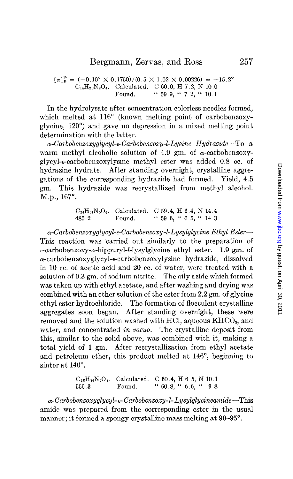$[\alpha]_p^{25} = (+0.10^{\circ} \times 0.1750)/(0.5 \times 1.02 \times 0.00226) = +15.2^{\circ}$  $C_{14}H_{20}N_2O_4$ . Calculated. C 60.0, H 7.2, N 10.0 Found. "  $59.9,$  "  $7.2,$  "  $10.1$ 

In the hydrolysate after concentration colorless needles formed, which melted at 116" (known melting point of carbobenzoxyglycine, 120") and gave no depression in a mixed melting point determination with the latter.

 $\alpha$ -Carbobenzoxyglycyl-e-Carbobenzoxy-l-Lysine Hydrazide-To a warm methyl alcoholic solution of 4.9 gm. of  $\alpha$ -carbobenzoxyglycyl-ecarbobenzoxylysine methyl ester was added 0.8 cc. of hydrazine hydrate. After standing overnight, crystalline aggregations of the corresponding hydrazide had formed. Yield, 4.5 gm. This hydrazide was recrystallized from methyl alcohol. M.p., 167°.

> $C_{24}H_{31}N_5O_6$ . Calculated. C 59.4, H 6.4, N 14.4 485.2 Found. "  $59.6,$  "  $6.5,$  "  $14.3$

 $\alpha$ -Carbobenzoxyglycyl- $\epsilon$ -Carbobenzoxy-l-Lysylglycine Ethyl Ester--This reaction was carried out similarly to the preparation of  $\epsilon$ -carbobenzoxy- $\alpha$ -hippuryl-*l*-lysylglycine ethyl ester. 1.9 gm. of  $\alpha$ -carbobenzoxyglycyl- $\epsilon$ -carbobenzoxylysine hydrazide, dissolved in 10 cc. of acetic acid and 20 cc. of water, were treated with a solution of 0.3 gm. of sodium nitrite. The oily azide which formed was taken up with ethyl acetate, and after washing and drying was combined with an ether solution of the ester from 2.2 gm. of glycine ethyl ester hydrochloride. The formation of flocculent crystalline aggregates soon began. After standing overnight, these were removed and the solution washed with HCl, aqueous  $KHCO<sub>3</sub>$ , and water, and concentrated in vacuo. The crystalline deposit from this, similar to the solid above, was combined with it, making a total yield of 1 gm. After recrystallization from ethyl acetate and petroleum ether, this product melted at 146", beginning to sinter at 140°.

> $C_{28}H_{36}N_4O_8$ . Calculated. C 60.4, H 6.5, N 10.1 556.3 Found. " 60.8, " 6.6, " 9.8

 $\alpha$ -Carbobenzoxyglycyl- $\epsilon$ -Carbobenzoxy-l-Lysylglycineamide-This amide was prepared from the corresponding ester in the usual manner; it formed a spongy crystalline mass melting at 90–95<sup>°</sup>.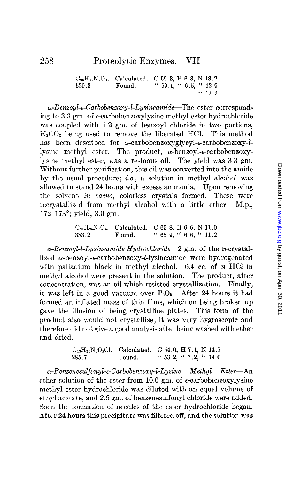$\alpha$ -Benzoyl- $\epsilon$ -Carbobenzoxy-l-Lysineamide-The ester corresponding to 3.3 gm. of e-carbobenzoxylysine methyl ester hydrochloride was coupled with 1.2 gm. of benzoyl chloride in two portions,  $K_2CO_3$  being used to remove the liberated HCl. This method has been described for  $\alpha$ -carbobenzoxyglycyl- $\epsilon$ -carbobenzoxy-llysine methyl ester. The product,  $\alpha$ -benzoyl- $\epsilon$ -carbobenzoxylysine methyl ester, was a resinous oil. The yield was 3.3 gm. Without further purification, this oil was converted into the amide by the usual procedure; i.e., a solution in methyl alcohol was allowed to stand 24 hours with excess ammonia. Upon removing the solvent in vacuo, colorless crystals formed. These were recrystallized from methyl alcohol with a little ether. M.p., 172-173'; yield, 3.0 gm.

> $C_{21}H_{25}N_3O_4$ . Calculated. C 65.8, H 6.6, N 11.0 383.2 Found. " 65.9, " 6.6, " 11.2

 $\alpha$ -Benzoyl-l-Lysineamide Hydrochloride-2 gm. of the recrystallized  $\alpha$ -benzoyl- $\epsilon$ -carbobenzoxy-l-lysineamide were hydrogenated with palladium black in methyl alcohol. 6.4 cc. of N HCl in methyl alcohol were present in the solution. The product, after concentration, was an oil which resisted crystallization. Finally, it was left in a good vacuum over  $P_2O_5$ . After 24 hours it had formed an inflated mass of thin films, which on being broken up gave the illusion of being crystalline plates. This form of the product also would not crystallize; it was very hygroscopic and therefore did not give a good analysis after being washed with ether and dried.

> $C_{13}H_{20}N_3O_2Cl.$  Calculated. C 54.6, H 7.1, N 14.7 285.7 Found. "  $53.2,$  "  $7.2,$  "  $14.0$

 $\alpha$ -Benzenesulfonyl- $\epsilon$ -Carbobenzoxy-l-Lysine Methyl Ester-An ether solution of the ester from 10.0 gm. of  $\epsilon$ -carbobenzoxylysine methyl ester hydrochloride was diluted with an equal volume of ethyl acetate, and 2.5 gm. of benzenesulfonyl chloride were added. Soon the formation of needles of the ester hydrochloride began. After 24 hours this precipitate was filtered off, and the solution was

 $C_{26}H_{33}N_6O_7.$  Calculated. C 59.3, H 6.3, N 13.2 529.3 Found. " 59.1, " 6.5, " 12.9  $(13.2)$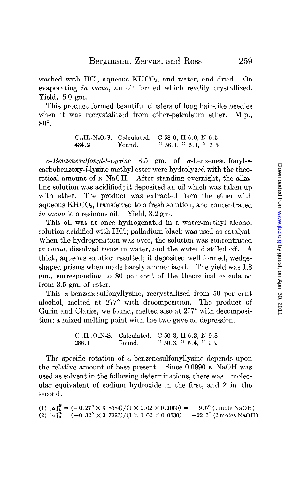washed with HCl, aqueous  $KHCO<sub>3</sub>$ , and water, and dried. On evaporating *in vacuo*, an oil formed which readily crystallized. Yield, 5.0 gm.

This product formed beautiful clusters of long hair-like needles when it was recrystallized from ether-petroleum ether. M.p.,  $80^\circ$ .

> $C_{21}H_{26}N_{2}O_{6}S.$  Calculated. C 58.0, H 6.0, N 6.5 434.2 Found. " 58.1, " 6.1, " 6.5

 $\alpha$ -Benzenesulfonyl-l-Lysine-3.5 gm. of  $\alpha$ -benzenesulfonyl-ecarbobenzoxy-l-lysine methyl ester were hydrolyzed with the theoretical amount of N NaOH. After standing overnight, the alkaline solution was acidified; it deposited an oil which was taken up with ether. The product was extracted from the ether with aqueous KHC03, transferred to a fresh solution, and concentrated in vacuo to a resinous oil. Yield,  $3.2 \text{ gm.}$ 

This oil was at once hydrogenated in a water-methyl alcohol solution acidified with HCl; palladium black was used as catalyst. When the hydrogenation was over, the solution was concentrated in vacuo, dissolved twice in water, and the water distilled off. A thick, aqueous solution resulted; it deposited well formed, wedgeshaped prisms when made barely ammoniacal. The yield was 1.8 gm., corresponding to 80 per cent of the theoretical calculated from 3.5 gm. of ester.

This  $\alpha$ -benzenesulfonyllysine, recrystallized from 50 per cent alcohol, melted at 277° with decomposition. The product of Gurin and Clarke, we found, melted also at 277° with decomposition; a mixed melting point with the two gave no depression.

> $C_{12}H_{18}O_4N_2S.$  Calculated. C 50.3, H 6.3, N 9.8 286.1 Found. " 50.3, " 6.4, " 9.9

The specific rotation of  $\alpha$ -benzenesulfonyllysine depends upon the relative amount of base present. Since 0.0990 N NaOH was used as solvent in the following determinations, there was 1 molecular equivalent of sodium hydroxide in the first, and 2 in the second.

(1)  $\lceil \alpha \rceil^2 = (-0.27^\circ \times 3.8584)/(1 \times 1.02 \times 0.1060) = -9.6^\circ (1 \text{ moleN})$  $(2)$   $\lceil \alpha \rceil^2 = (-0.32^\circ \times 3.7993)/(1 \times 1.02 \times 0.0530) = -22.5^\circ$  (2 moles Na

259